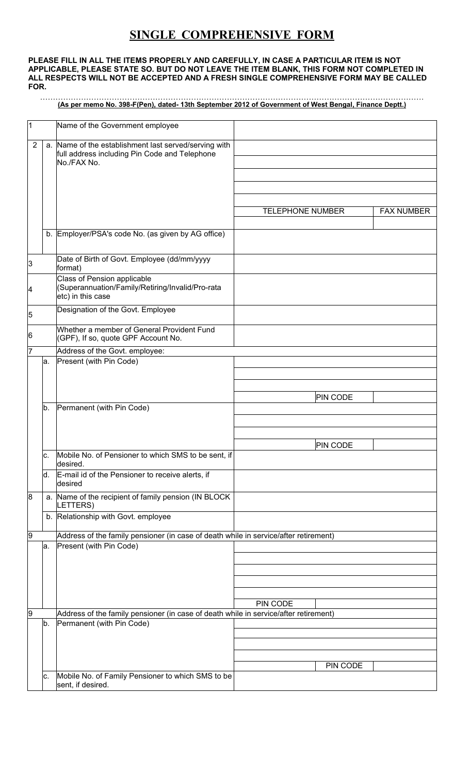## **SINGLE COMPREHENSIVE FORM**

## **PLEASE FILL IN ALL THE ITEMS PROPERLY AND CAREFULLY, IN CASE A PARTICULAR ITEM IS NOT APPLICABLE, PLEASE STATE SO. BUT DO NOT LEAVE THE ITEM BLANK, THIS FORM NOT COMPLETED IN ALL RESPECTS WILL NOT BE ACCEPTED AND A FRESH SINGLE COMPREHENSIVE FORM MAY BE CALLED FOR.**

## …………………………………………………………………………………………………………………………………… **(As per memo No. 398-F(Pen), dated- 13th September 2012 of Government of West Bengal, Finance Deptt.)**

| 1 |     | Name of the Government employee                                                                                       |                         |                   |
|---|-----|-----------------------------------------------------------------------------------------------------------------------|-------------------------|-------------------|
| 2 |     | a. Name of the establishment last served/serving with<br>full address including Pin Code and Telephone<br>No./FAX No. |                         |                   |
|   |     |                                                                                                                       |                         |                   |
|   |     |                                                                                                                       | <b>TELEPHONE NUMBER</b> | <b>FAX NUMBER</b> |
|   |     | b. Employer/PSA's code No. (as given by AG office)                                                                    |                         |                   |
|   |     |                                                                                                                       |                         |                   |
| 3 |     | Date of Birth of Govt. Employee (dd/mm/yyyy<br>format)                                                                |                         |                   |
| 4 |     | Class of Pension applicable<br>(Superannuation/Family/Retiring/Invalid/Pro-rata<br>etc) in this case                  |                         |                   |
| 5 |     | Designation of the Govt. Employee                                                                                     |                         |                   |
| 6 |     | Whether a member of General Provident Fund<br>(GPF), If so, quote GPF Account No.                                     |                         |                   |
| 7 |     | Address of the Govt. employee:<br>Present (with Pin Code)                                                             |                         |                   |
|   | la. |                                                                                                                       |                         |                   |
|   |     |                                                                                                                       |                         |                   |
|   |     |                                                                                                                       | <b>PIN CODE</b>         |                   |
|   | b.  | Permanent (with Pin Code)                                                                                             |                         |                   |
|   |     |                                                                                                                       |                         |                   |
|   |     |                                                                                                                       | <b>PIN CODE</b>         |                   |
|   | c.  | Mobile No. of Pensioner to which SMS to be sent, if<br>desired.                                                       |                         |                   |
|   | ld. | E-mail id of the Pensioner to receive alerts, if<br>desired                                                           |                         |                   |
| 8 |     | a. Name of the recipient of family pension (IN BLOCK<br>LETTERS)                                                      |                         |                   |
|   |     | b. Relationship with Govt. employee                                                                                   |                         |                   |
| 9 |     | Address of the family pensioner (in case of death while in service/after retirement)                                  |                         |                   |
|   | a.  | Present (with Pin Code)                                                                                               |                         |                   |
|   |     |                                                                                                                       |                         |                   |
|   |     |                                                                                                                       |                         |                   |
|   |     |                                                                                                                       |                         |                   |
| 9 |     | Address of the family pensioner (in case of death while in service/after retirement)                                  | PIN CODE                |                   |
|   | b.  | Permanent (with Pin Code)                                                                                             |                         |                   |
|   |     |                                                                                                                       |                         |                   |
|   |     |                                                                                                                       |                         |                   |
|   |     |                                                                                                                       | PIN CODE                |                   |
|   | c.  | Mobile No. of Family Pensioner to which SMS to be<br>sent, if desired.                                                |                         |                   |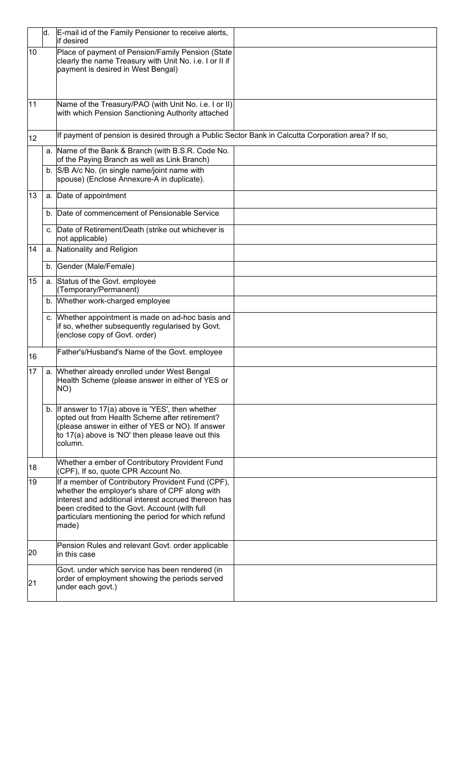|    | d. | E-mail id of the Family Pensioner to receive alerts,<br>lif desired                                                                                                                                                                                                         |  |
|----|----|-----------------------------------------------------------------------------------------------------------------------------------------------------------------------------------------------------------------------------------------------------------------------------|--|
| 10 |    | Place of payment of Pension/Family Pension (State<br>clearly the name Treasury with Unit No. i.e. I or II if<br>payment is desired in West Bengal)                                                                                                                          |  |
| 11 |    | Name of the Treasury/PAO (with Unit No. i.e. I or II)<br>with which Pension Sanctioning Authority attached                                                                                                                                                                  |  |
| 12 |    | If payment of pension is desired through a Public Sector Bank in Calcutta Corporation area? If so,                                                                                                                                                                          |  |
|    |    | a. Name of the Bank & Branch (with B.S.R. Code No.<br>of the Paying Branch as well as Link Branch)                                                                                                                                                                          |  |
|    |    | b. S/B A/c No. (in single name/joint name with<br>spouse) (Enclose Annexure-A in duplicate).                                                                                                                                                                                |  |
| 13 |    | a. Date of appointment                                                                                                                                                                                                                                                      |  |
|    |    | b. Date of commencement of Pensionable Service                                                                                                                                                                                                                              |  |
|    |    | c. Date of Retirement/Death (strike out whichever is<br>not applicable)                                                                                                                                                                                                     |  |
| 14 |    | a. Nationality and Religion                                                                                                                                                                                                                                                 |  |
|    |    | b. Gender (Male/Female)                                                                                                                                                                                                                                                     |  |
| 15 |    | a. Status of the Govt. employee<br>(Temporary/Permanent)                                                                                                                                                                                                                    |  |
|    |    | b. Whether work-charged employee                                                                                                                                                                                                                                            |  |
|    | C. | Whether appointment is made on ad-hoc basis and<br>if so, whether subsequently regularised by Govt.<br>(enclose copy of Govt. order)                                                                                                                                        |  |
| 16 |    | Father's/Husband's Name of the Govt. employee                                                                                                                                                                                                                               |  |
| 17 |    | a. Whether already enrolled under West Bengal<br>Health Scheme (please answer in either of YES or<br>NO)                                                                                                                                                                    |  |
|    |    | b. If answer to $17(a)$ above is 'YES', then whether<br>opted out from Health Scheme after retirement?<br>(please answer in either of YES or NO). If answer<br>to 17(a) above is 'NO' then please leave out this<br>column.                                                 |  |
| 18 |    | Whether a ember of Contributory Provident Fund<br>(CPF), If so, quote CPR Account No.                                                                                                                                                                                       |  |
| 19 |    | If a member of Contributory Provident Fund (CPF),<br>whether the employer's share of CPF along with<br>interest and additional interest accrued thereon has<br>been credited to the Govt. Account (with full<br>particulars mentioning the period for which refund<br>made) |  |
| 20 |    | Pension Rules and relevant Govt. order applicable<br>in this case                                                                                                                                                                                                           |  |
| 21 |    | Govt. under which service has been rendered (in<br>order of employment showing the periods served<br>under each govt.)                                                                                                                                                      |  |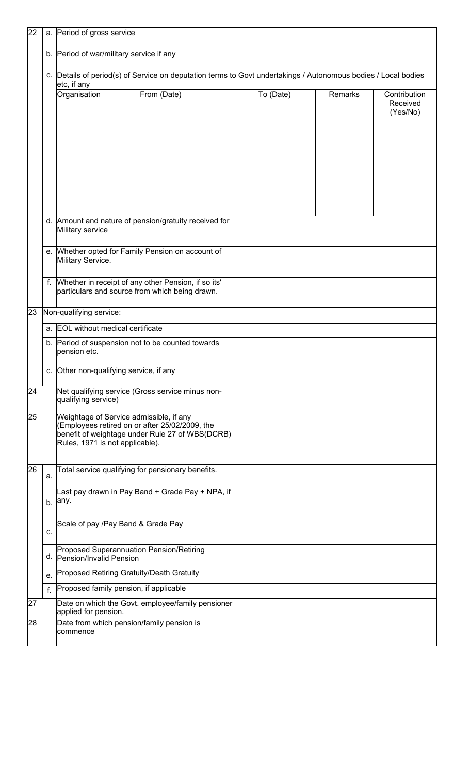| 22 |                                          | a. Period of gross service                                                                                                   |                                                       |                                                                                                                |         |                                      |  |
|----|------------------------------------------|------------------------------------------------------------------------------------------------------------------------------|-------------------------------------------------------|----------------------------------------------------------------------------------------------------------------|---------|--------------------------------------|--|
|    | b. Period of war/military service if any |                                                                                                                              |                                                       |                                                                                                                |         |                                      |  |
|    |                                          | etc, if any                                                                                                                  |                                                       | c. Details of period(s) of Service on deputation terms to Govt undertakings / Autonomous bodies / Local bodies |         |                                      |  |
|    |                                          | Organisation                                                                                                                 | From (Date)                                           | To (Date)                                                                                                      | Remarks | Contribution<br>Received<br>(Yes/No) |  |
|    |                                          |                                                                                                                              |                                                       |                                                                                                                |         |                                      |  |
|    |                                          | Military service                                                                                                             | d. Amount and nature of pension/gratuity received for |                                                                                                                |         |                                      |  |
|    |                                          | Military Service.                                                                                                            | e. Whether opted for Family Pension on account of     |                                                                                                                |         |                                      |  |
|    | f.                                       | particulars and source from which being drawn.                                                                               | Whether in receipt of any other Pension, if so its'   |                                                                                                                |         |                                      |  |
| 23 |                                          | Non-qualifying service:                                                                                                      |                                                       |                                                                                                                |         |                                      |  |
|    | a. EOL without medical certificate       |                                                                                                                              |                                                       |                                                                                                                |         |                                      |  |
|    |                                          | b. Period of suspension not to be counted towards<br>pension etc.                                                            |                                                       |                                                                                                                |         |                                      |  |
|    |                                          | c. Other non-qualifying service, if any                                                                                      |                                                       |                                                                                                                |         |                                      |  |
| 24 |                                          | qualifying service)                                                                                                          | Net qualifying service (Gross service minus non-      |                                                                                                                |         |                                      |  |
| 25 |                                          | Weightage of Service admissible, if any<br>(Employees retired on or after 25/02/2009, the<br>Rules, 1971 is not applicable). | benefit of weightage under Rule 27 of WBS(DCRB)       |                                                                                                                |         |                                      |  |
| 26 | a.                                       | Total service qualifying for pensionary benefits.                                                                            |                                                       |                                                                                                                |         |                                      |  |
|    | b.                                       | Last pay drawn in Pay Band + Grade Pay + NPA, if<br>any.                                                                     |                                                       |                                                                                                                |         |                                      |  |
|    | c.                                       | Scale of pay /Pay Band & Grade Pay                                                                                           |                                                       |                                                                                                                |         |                                      |  |
|    |                                          | Proposed Superannuation Pension/Retiring<br>d. Pension/Invalid Pension                                                       |                                                       |                                                                                                                |         |                                      |  |
|    | e.                                       | Proposed Retiring Gratuity/Death Gratuity                                                                                    |                                                       |                                                                                                                |         |                                      |  |
|    | $f_{\rm{r}}$                             | Proposed family pension, if applicable                                                                                       |                                                       |                                                                                                                |         |                                      |  |
| 27 |                                          | applied for pension.                                                                                                         | Date on which the Govt. employee/family pensioner     |                                                                                                                |         |                                      |  |
| 28 |                                          | Date from which pension/family pension is<br>commence                                                                        |                                                       |                                                                                                                |         |                                      |  |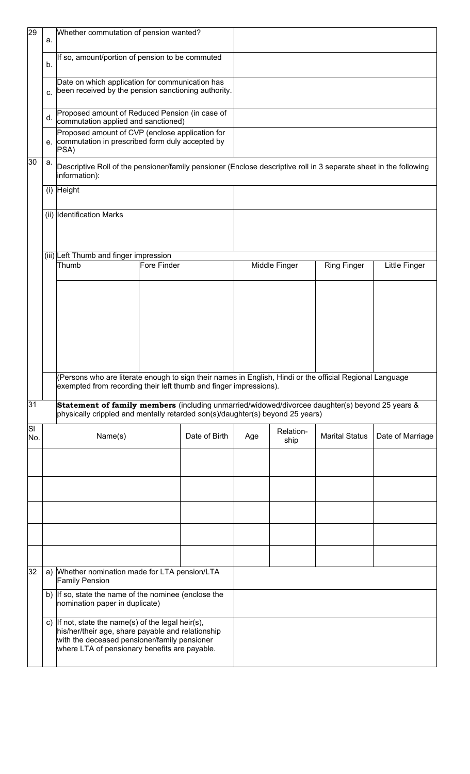| 29        | a. | Whether commutation of pension wanted?                                                                                                                                                                   |             |               |     |                   |                       |                  |
|-----------|----|----------------------------------------------------------------------------------------------------------------------------------------------------------------------------------------------------------|-------------|---------------|-----|-------------------|-----------------------|------------------|
|           | b. | If so, amount/portion of pension to be commuted                                                                                                                                                          |             |               |     |                   |                       |                  |
|           | C. | Date on which application for communication has<br>been received by the pension sanctioning authority.                                                                                                   |             |               |     |                   |                       |                  |
|           | d. | Proposed amount of Reduced Pension (in case of<br>commutation applied and sanctioned)                                                                                                                    |             |               |     |                   |                       |                  |
|           | е. | Proposed amount of CVP (enclose application for<br>commutation in prescribed form duly accepted by<br>$ PSA\rangle$                                                                                      |             |               |     |                   |                       |                  |
| 30        | а. | Descriptive Roll of the pensioner/family pensioner (Enclose descriptive roll in 3 separate sheet in the following<br>information):                                                                       |             |               |     |                   |                       |                  |
|           |    | $(i)$ Height                                                                                                                                                                                             |             |               |     |                   |                       |                  |
|           |    | (ii) Identification Marks                                                                                                                                                                                |             |               |     |                   |                       |                  |
|           |    | (iii) Left Thumb and finger impression                                                                                                                                                                   |             |               |     |                   |                       |                  |
|           |    | Thumb                                                                                                                                                                                                    | Fore Finder |               |     | Middle Finger     | <b>Ring Finger</b>    | Little Finger    |
|           |    |                                                                                                                                                                                                          |             |               |     |                   |                       |                  |
|           |    | (Persons who are literate enough to sign their names in English, Hindi or the official Regional Language<br>exempted from recording their left thumb and finger impressions).                            |             |               |     |                   |                       |                  |
| 31        |    | Statement of family members (including unmarried/widowed/divorcee daughter(s) beyond 25 years &<br>physically crippled and mentally retarded son(s)/daughter(s) beyond 25 years)                         |             |               |     |                   |                       |                  |
| SI<br>No. |    | Name(s)                                                                                                                                                                                                  |             | Date of Birth | Age | Relation-<br>ship | <b>Marital Status</b> | Date of Marriage |
|           |    |                                                                                                                                                                                                          |             |               |     |                   |                       |                  |
|           |    |                                                                                                                                                                                                          |             |               |     |                   |                       |                  |
|           |    |                                                                                                                                                                                                          |             |               |     |                   |                       |                  |
|           |    |                                                                                                                                                                                                          |             |               |     |                   |                       |                  |
| 32        |    |                                                                                                                                                                                                          |             |               |     |                   |                       |                  |
|           | a) | Whether nomination made for LTA pension/LTA<br><b>Family Pension</b>                                                                                                                                     |             |               |     |                   |                       |                  |
|           |    | b) If so, state the name of the nominee (enclose the<br>nomination paper in duplicate)                                                                                                                   |             |               |     |                   |                       |                  |
|           |    | c) If not, state the name(s) of the legal heir(s),<br>his/her/their age, share payable and relationship<br>with the deceased pensioner/family pensioner<br>where LTA of pensionary benefits are payable. |             |               |     |                   |                       |                  |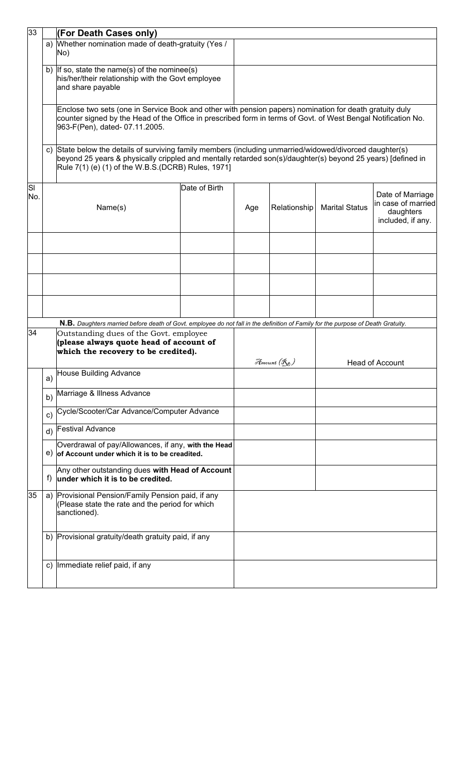| 33        |    | (For Death Cases only)                                                                                                                                                                                                                                                      |               |     |              |                       |                                                                          |  |  |
|-----------|----|-----------------------------------------------------------------------------------------------------------------------------------------------------------------------------------------------------------------------------------------------------------------------------|---------------|-----|--------------|-----------------------|--------------------------------------------------------------------------|--|--|
|           |    | a) Whether nomination made of death-gratuity (Yes /<br>No)                                                                                                                                                                                                                  |               |     |              |                       |                                                                          |  |  |
|           |    | b) If so, state the name(s) of the nominee(s)<br>his/her/their relationship with the Govt employee<br>and share payable                                                                                                                                                     |               |     |              |                       |                                                                          |  |  |
|           |    | Enclose two sets (one in Service Book and other with pension papers) nomination for death gratuity duly<br>counter signed by the Head of the Office in prescribed form in terms of Govt. of West Bengal Notification No.<br>963-F(Pen), dated-07.11.2005.                   |               |     |              |                       |                                                                          |  |  |
|           | C) | State below the details of surviving family members (including unmarried/widowed/divorced daughter(s)<br>beyond 25 years & physically crippled and mentally retarded son(s)/daughter(s) beyond 25 years) [defined in<br>Rule 7(1) (e) (1) of the W.B.S. (DCRB) Rules, 1971] |               |     |              |                       |                                                                          |  |  |
| SI<br>No. |    | Name(s)                                                                                                                                                                                                                                                                     | Date of Birth | Age | Relationship | <b>Marital Status</b> | Date of Marriage<br>in case of married<br>daughters<br>included, if any. |  |  |
|           |    |                                                                                                                                                                                                                                                                             |               |     |              |                       |                                                                          |  |  |
|           |    |                                                                                                                                                                                                                                                                             |               |     |              |                       |                                                                          |  |  |
|           |    |                                                                                                                                                                                                                                                                             |               |     |              |                       |                                                                          |  |  |
|           |    | N.B. Daughters married before death of Govt. employee do not fall in the definition of Family for the purpose of Death Gratuity.                                                                                                                                            |               |     |              |                       |                                                                          |  |  |
| 34        |    | Outstanding dues of the Govt. employee<br>(please always quote head of account of<br>which the recovery to be credited).                                                                                                                                                    |               |     | Amount (Rs.) |                       | <b>Head of Account</b>                                                   |  |  |
|           | a) | House Building Advance                                                                                                                                                                                                                                                      |               |     |              |                       |                                                                          |  |  |
|           | b) | Marriage & Illness Advance                                                                                                                                                                                                                                                  |               |     |              |                       |                                                                          |  |  |
|           | C) | Cycle/Scooter/Car Advance/Computer Advance                                                                                                                                                                                                                                  |               |     |              |                       |                                                                          |  |  |
|           | d) | <b>Festival Advance</b>                                                                                                                                                                                                                                                     |               |     |              |                       |                                                                          |  |  |
|           | e) | Overdrawal of pay/Allowances, if any, with the Head<br>of Account under which it is to be creadited.                                                                                                                                                                        |               |     |              |                       |                                                                          |  |  |
|           | f) | Any other outstanding dues with Head of Account<br>under which it is to be credited.                                                                                                                                                                                        |               |     |              |                       |                                                                          |  |  |
| 35        | a) | Provisional Pension/Family Pension paid, if any<br>(Please state the rate and the period for which<br>sanctioned).                                                                                                                                                          |               |     |              |                       |                                                                          |  |  |
|           |    | b) Provisional gratuity/death gratuity paid, if any                                                                                                                                                                                                                         |               |     |              |                       |                                                                          |  |  |
|           |    | c) Immediate relief paid, if any                                                                                                                                                                                                                                            |               |     |              |                       |                                                                          |  |  |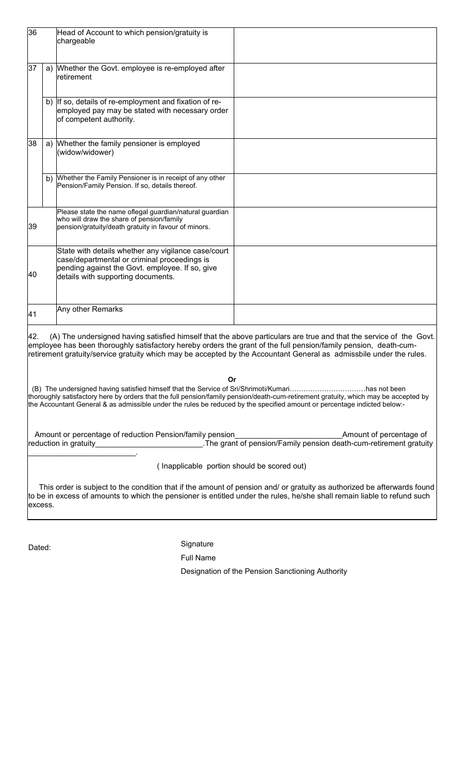| 36      |    | Head of Account to which pension/gratuity is<br>chargeable                                                                                                                                                                         |                                                                                                                                                                                                                                                                                                                                                               |
|---------|----|------------------------------------------------------------------------------------------------------------------------------------------------------------------------------------------------------------------------------------|---------------------------------------------------------------------------------------------------------------------------------------------------------------------------------------------------------------------------------------------------------------------------------------------------------------------------------------------------------------|
| 37      |    | a) Whether the Govt. employee is re-employed after<br>retirement                                                                                                                                                                   |                                                                                                                                                                                                                                                                                                                                                               |
|         |    | b) If so, details of re-employment and fixation of re-<br>employed pay may be stated with necessary order<br>of competent authority.                                                                                               |                                                                                                                                                                                                                                                                                                                                                               |
| 38      |    | a) Whether the family pensioner is employed<br>(widow/widower)                                                                                                                                                                     |                                                                                                                                                                                                                                                                                                                                                               |
|         | b) | Whether the Family Pensioner is in receipt of any other<br>Pension/Family Pension. If so, details thereof.                                                                                                                         |                                                                                                                                                                                                                                                                                                                                                               |
| 39      |    | Please state the name oflegal guardian/natural guardian<br>who will draw the share of pension/family<br>pension/gratuity/death gratuity in favour of minors.                                                                       |                                                                                                                                                                                                                                                                                                                                                               |
| 40      |    | State with details whether any vigilance case/court<br>case/departmental or criminal proceedings is<br>pending against the Govt. employee. If so, give<br>details with supporting documents.                                       |                                                                                                                                                                                                                                                                                                                                                               |
| 41      |    | Any other Remarks                                                                                                                                                                                                                  |                                                                                                                                                                                                                                                                                                                                                               |
| 42.     |    |                                                                                                                                                                                                                                    | (A) The undersigned having satisfied himself that the above particulars are true and that the service of the Govt.<br>employee has been thoroughly satisfactory hereby orders the grant of the full pension/family pension, death-cum-<br>retirement gratuity/service gratuity which may be accepted by the Accountant General as admissbile under the rules. |
|         |    | Or<br>(B) The undersigned having satisfied himself that the Service of Sri/Shrimoti/Kumarihas not been<br>the Accountant General & as admissible under the rules be reduced by the specified amount or percentage indicted below:- | thoroughly satisfactory here by orders that the full pension/family pension/death-cum-retirement gratuity, which may be accepted by                                                                                                                                                                                                                           |
|         |    |                                                                                                                                                                                                                                    |                                                                                                                                                                                                                                                                                                                                                               |
|         |    | (Inapplicable portion should be scored out)                                                                                                                                                                                        |                                                                                                                                                                                                                                                                                                                                                               |
| excess. |    |                                                                                                                                                                                                                                    | This order is subject to the condition that if the amount of pension and/ or gratuity as authorized be afterwards found<br>to be in excess of amounts to which the pensioner is entitled under the rules, he/she shall remain liable to refund such                                                                                                           |
|         |    |                                                                                                                                                                                                                                    |                                                                                                                                                                                                                                                                                                                                                               |

Dated: Signature

Full Name

Designation of the Pension Sanctioning Authority